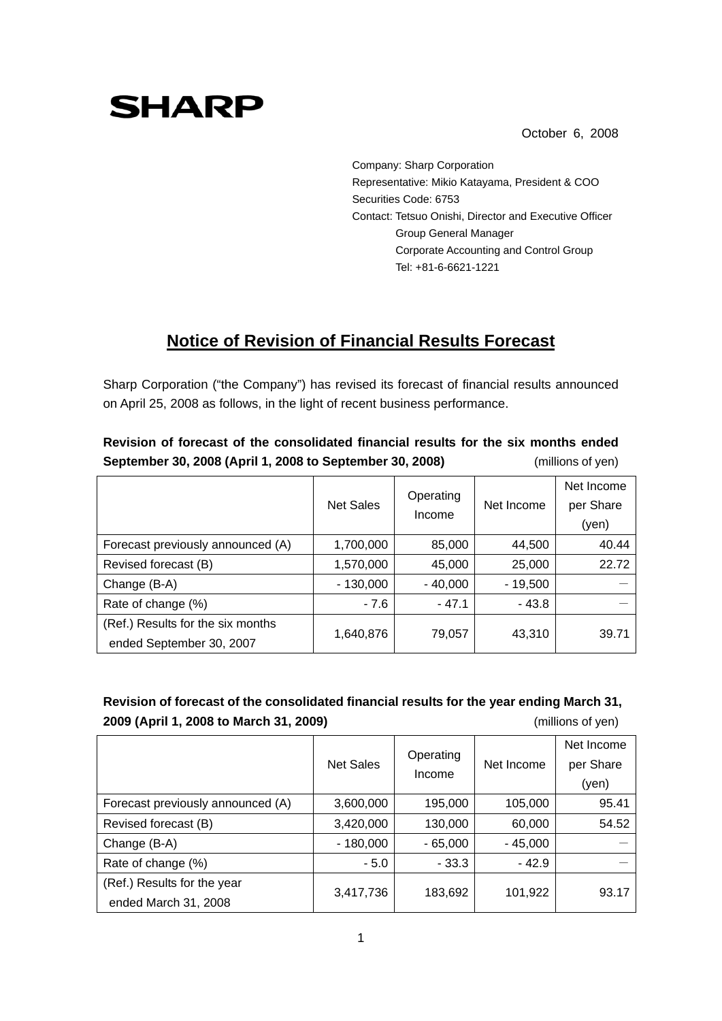# **SHARP**

October 6, 2008

Company: Sharp Corporation Representative: Mikio Katayama, President & COO Securities Code: 6753 Contact: Tetsuo Onishi, Director and Executive Officer Group General Manager Corporate Accounting and Control Group Tel: +81-6-6621-1221

## **Notice of Revision of Financial Results Forecast**

Sharp Corporation ("the Company") has revised its forecast of financial results announced on April 25, 2008 as follows, in the light of recent business performance.

|                                                               | <b>Net Sales</b> | Operating<br>Income | Net Income | Net Income<br>per Share |  |  |
|---------------------------------------------------------------|------------------|---------------------|------------|-------------------------|--|--|
|                                                               |                  |                     |            | (yen)                   |  |  |
| Forecast previously announced (A)                             | 1,700,000        | 85,000              | 44,500     | 40.44                   |  |  |
| Revised forecast (B)                                          | 1,570,000        | 45,000              | 25,000     | 22.72                   |  |  |
| Change (B-A)                                                  | $-130,000$       | $-40,000$           | $-19,500$  |                         |  |  |
| Rate of change (%)                                            | $-7.6$           | $-47.1$             | $-43.8$    |                         |  |  |
| (Ref.) Results for the six months<br>ended September 30, 2007 | 1,640,876        | 79,057              | 43,310     | 39.71                   |  |  |

#### **Revision of forecast of the consolidated financial results for the six months ended September 30, 2008 (April 1, 2008 to September 30, 2008)** (millions of yen)

### **Revision of forecast of the consolidated financial results for the year ending March 31, 2009 (April 1, 2008 to March 31, 2009)** (millions of yen)

|                                   | <b>Net Sales</b> | Operating<br>Income | Net Income | Net Income<br>per Share<br>(yen) |
|-----------------------------------|------------------|---------------------|------------|----------------------------------|
| Forecast previously announced (A) | 3,600,000        | 195,000             | 105,000    | 95.41                            |
| Revised forecast (B)              | 3,420,000        | 130,000             | 60,000     | 54.52                            |
| Change (B-A)                      | - 180,000        | $-65,000$           | $-45,000$  |                                  |
| Rate of change (%)                | $-5.0$           | $-33.3$             | $-42.9$    |                                  |
| (Ref.) Results for the year       | 3,417,736        | 183,692             | 101,922    | 93.17                            |
| ended March 31, 2008              |                  |                     |            |                                  |